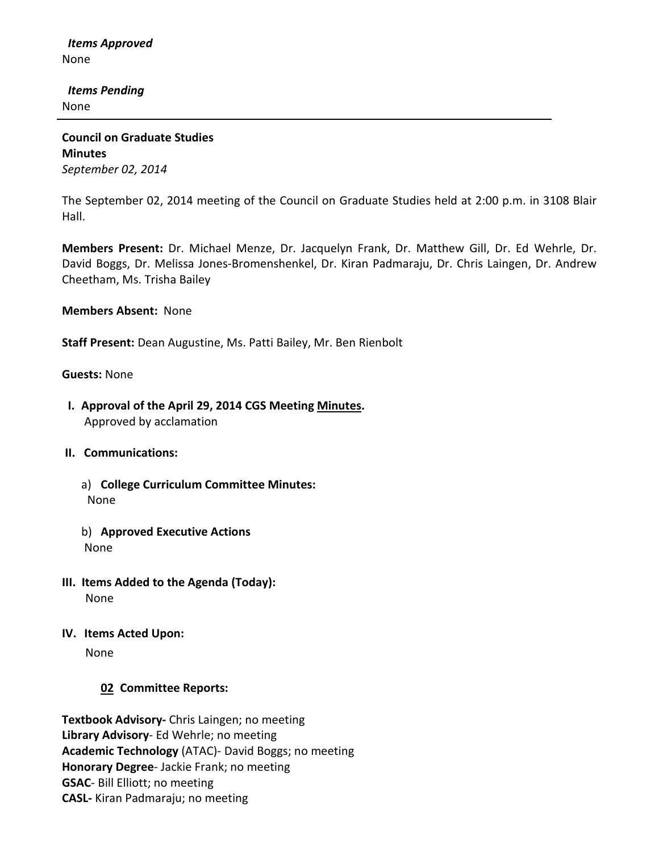*Items Approved* None

 *Items Pending* None

**Council on Graduate Studies Minutes** *September 02, 2014*

The September 02, 2014 meeting of the Council on Graduate Studies held at 2:00 p.m. in 3108 Blair Hall.

**Members Present:** Dr. Michael Menze, Dr. Jacquelyn Frank, Dr. Matthew Gill, Dr. Ed Wehrle, Dr. David Boggs, Dr. Melissa Jones-Bromenshenkel, Dr. Kiran Padmaraju, Dr. Chris Laingen, Dr. Andrew Cheetham, Ms. Trisha Bailey

**Members Absent:** None

**Staff Present:** Dean Augustine, Ms. Patti Bailey, Mr. Ben Rienbolt

**Guests:** None

 **I. Approval of the April 29, 2014 CGS Meetin[g Minutes.](http://castle.eiu.edu/eiucgs/currentminutes/Minutes04-29-14.pdf)** Approved by acclamation

## **II. Communications:**

- a) **College Curriculum Committee Minutes:** None
- b) **Approved Executive Actions** None
- **III. Items Added to the Agenda (Today):** None
- **IV. Items Acted Upon:**

None

# **02 Committee Reports:**

**Textbook Advisory-** Chris Laingen; no meeting **Library Advisory**- Ed Wehrle; no meeting **Academic Technology** (ATAC)- David Boggs; no meeting **Honorary Degree**- Jackie Frank; no meeting **GSAC**- Bill Elliott; no meeting **CASL-** Kiran Padmaraju; no meeting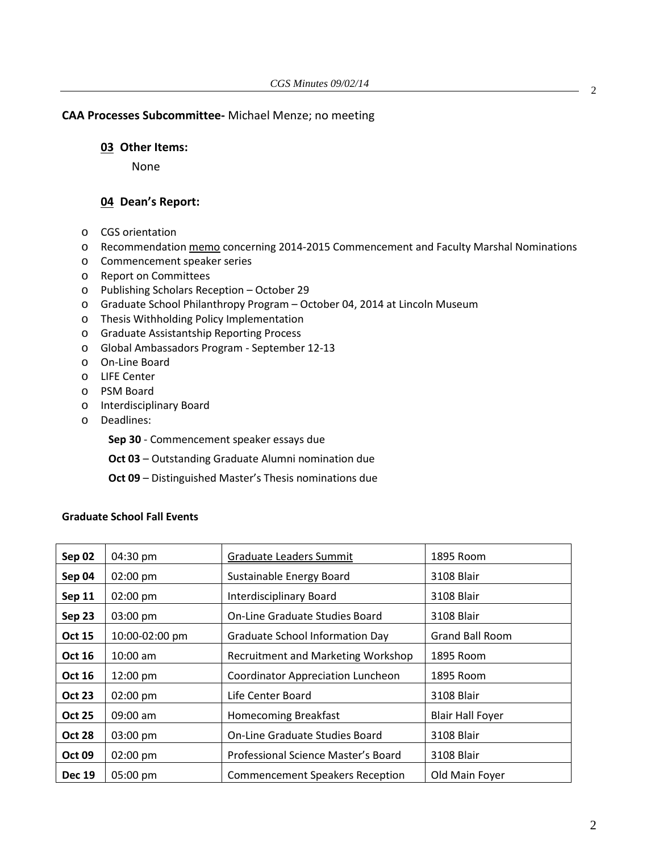## **CAA Processes Subcommittee-** Michael Menze; no meeting

#### **03 Other Items:**

None

## **04 Dean's Report:**

- o CGS orientation
- o Recommendatio[n memo](http://castle.eiu.edu/~eiucgs/documents/2014-2015CommencementFacultyMarshal.pdf) concerning 2014-2015 Commencement and Faculty Marshal Nominations
- o Commencement speaker series
- o Report on Committees
- o Publishing Scholars Reception October 29
- o Graduate School Philanthropy Program October 04, 2014 at Lincoln Museum
- o Thesis Withholding Policy Implementation
- o Graduate Assistantship Reporting Process
- o Global Ambassadors Program September 12-13
- o On-Line Board
- o LIFE Center
- o PSM Board
- o Interdisciplinary Board
- o Deadlines:

**Sep 30** - Commencement speaker essays due

**Oct 03** – Outstanding Graduate Alumni nomination due

**Oct 09** – Distinguished Master's Thesis nominations due

### **Graduate School Fall Events**

| Sep 02        | 04:30 pm           | Graduate Leaders Summit                  | 1895 Room               |
|---------------|--------------------|------------------------------------------|-------------------------|
| Sep 04        | $02:00 \text{ pm}$ | Sustainable Energy Board                 | 3108 Blair              |
| <b>Sep 11</b> | $02:00 \text{ pm}$ | <b>Interdisciplinary Board</b>           | 3108 Blair              |
| Sep 23        | 03:00 pm           | <b>On-Line Graduate Studies Board</b>    | 3108 Blair              |
| <b>Oct 15</b> | 10:00-02:00 pm     | <b>Graduate School Information Day</b>   | <b>Grand Ball Room</b>  |
| <b>Oct 16</b> | $10:00$ am         | Recruitment and Marketing Workshop       | 1895 Room               |
| <b>Oct 16</b> | 12:00 pm           | <b>Coordinator Appreciation Luncheon</b> | 1895 Room               |
| <b>Oct 23</b> | $02:00 \text{ pm}$ | Life Center Board                        | 3108 Blair              |
| <b>Oct 25</b> | $09:00$ am         | <b>Homecoming Breakfast</b>              | <b>Blair Hall Foyer</b> |
| <b>Oct 28</b> | 03:00 pm           | <b>On-Line Graduate Studies Board</b>    | 3108 Blair              |
| <b>Oct 09</b> | $02:00 \text{ pm}$ | Professional Science Master's Board      | 3108 Blair              |
| <b>Dec 19</b> | 05:00 pm           | <b>Commencement Speakers Reception</b>   | Old Main Foyer          |

2